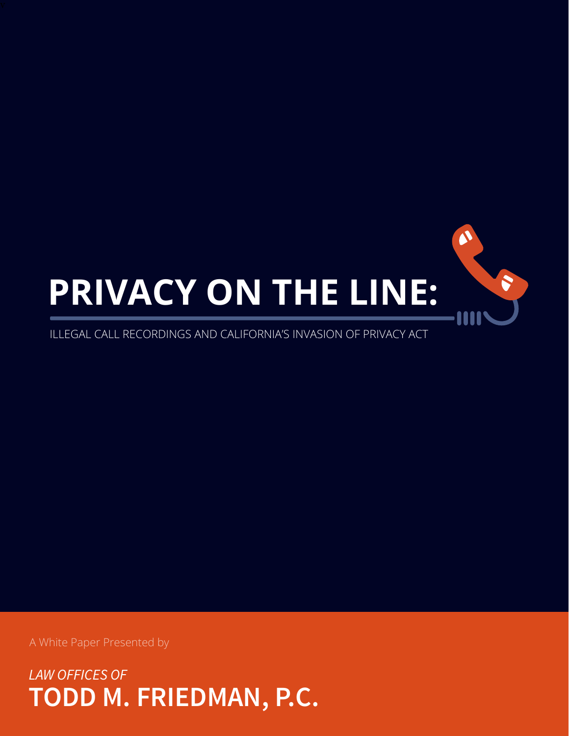

A White Paper Presented by

*LAW OFFICES OF* **TODD M. FRIEDMAN, P.C.**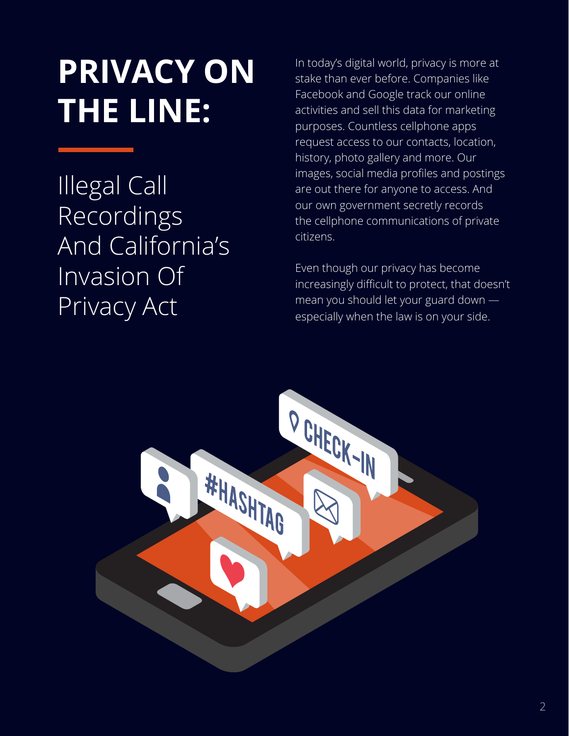# **PRIVACY ON THE LINE:**

Illegal Call Recordings And California's Invasion Of Privacy Act

In today's digital world, privacy is more at stake than ever before. Companies like Facebook and Google track our online activities and sell this data for marketing purposes. Countless cellphone apps request access to our contacts, location, history, photo gallery and more. Our images, social media profiles and postings are out there for anyone to access. And our own government secretly records the cellphone communications of private citizens.

Even though our privacy has become increasingly difficult to protect, that doesn't mean you should let your guard down especially when the law is on your side.

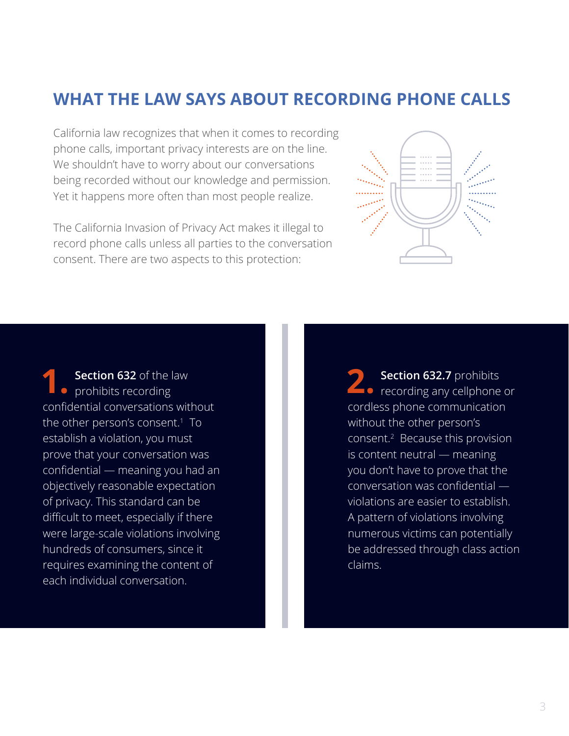## **WHAT THE LAW SAYS ABOUT RECORDING PHONE CALLS**

California law recognizes that when it comes to recording phone calls, important privacy interests are on the line. We shouldn't have to worry about our conversations being recorded without our knowledge and permission. Yet it happens more often than most people realize.

The California Invasion of Privacy Act makes it illegal to record phone calls unless all parties to the conversation consent. There are two aspects to this protection:



**Section 632** of the law • prohibits recording confidential conversations without the other person's consent.1 To establish a violation, you must prove that your conversation was confidential — meaning you had an objectively reasonable expectation of privacy. This standard can be difficult to meet, especially if there were large-scale violations involving hundreds of consumers, since it requires examining the content of each individual conversation.

**2. Section 632.7** prohibits recording any cellphone or cordless phone communication without the other person's consent.2 Because this provision is content neutral — meaning you don't have to prove that the conversation was confidential violations are easier to establish. A pattern of violations involving numerous victims can potentially be addressed through class action claims.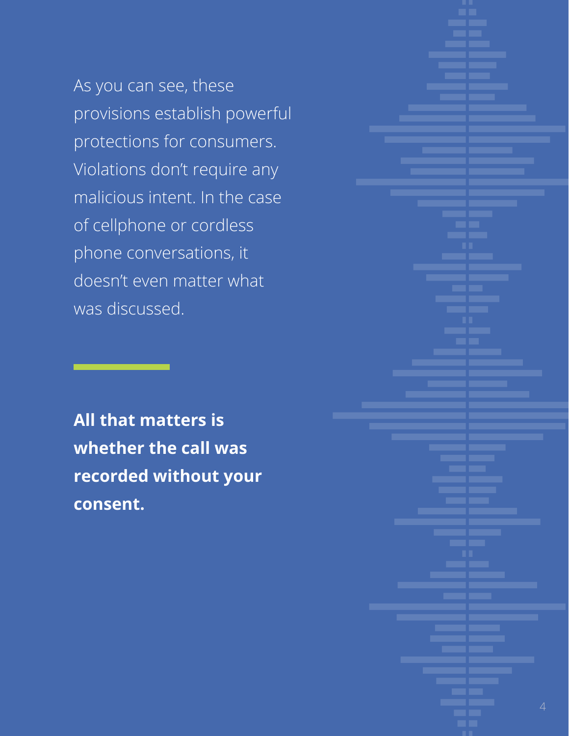As you can see, these provisions establish powerful protections for consumers. Violations don't require any malicious intent. In the case of cellphone or cordless phone conversations, it doesn't even matter what was discussed.

**All that matters is whether the call was recorded without your consent.**

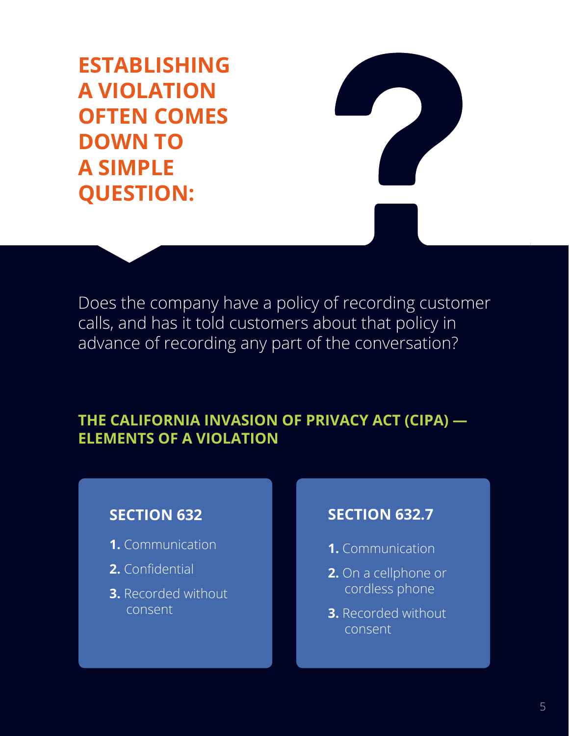**ESTABLISHING A VIOLATION OFTEN COMES DOWN TO A SIMPLE QUESTION:** 

Does the company have a policy of recording customer calls, and has it told customers about that policy in advance of recording any part of the conversation?

#### **THE CALIFORNIA INVASION OF PRIVACY ACT (CIPA) — ELEMENTS OF A VIOLATION**

#### **SECTION 632**

- **1.** Communication
- **2.** Confidential
- **3.** Recorded without consent

#### **SECTION 632.7**

- **1.** Communication
- **2.** On a cellphone or cordless phone
- **3.** Recorded without consent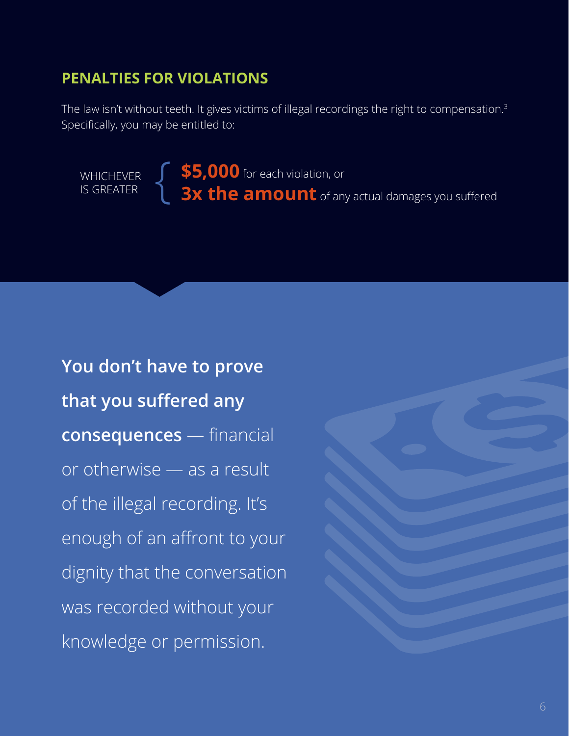### **PENALTIES FOR VIOLATIONS**

The law isn't without teeth. It gives victims of illegal recordings the right to compensation. $3$ Specifically, you may be entitled to:

**\$5,000** for each violation, or **3x the amount** of any actual damages you suffered **WHICHEVER** IS GREATER

**You don't have to prove that you suffered any consequences** — financial or otherwise — as a result of the illegal recording. It's enough of an affront to your dignity that the conversation was recorded without your knowledge or permission.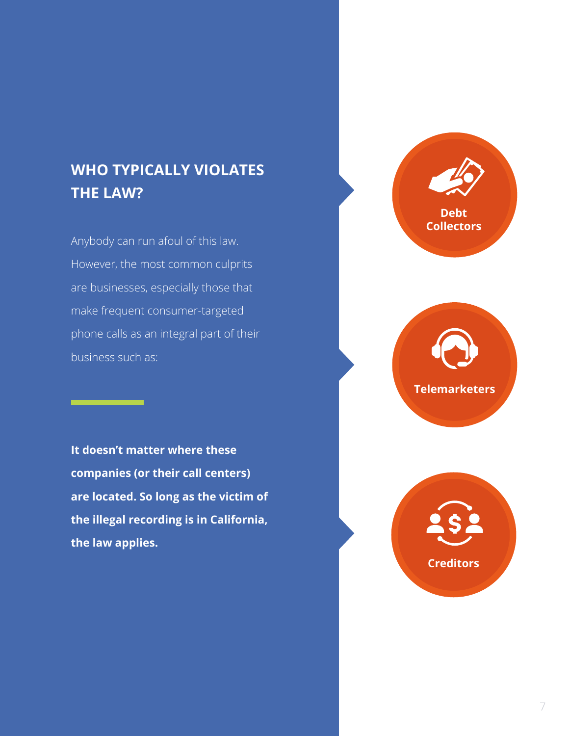## **WHO TYPICALLY VIOLATES THE LAW?**

Anybody can run afoul of this law. However, the most common culprits are businesses, especially those that make frequent consumer-targeted phone calls as an integral part of their business such as:

**It doesn't matter where these companies (or their call centers) are located. So long as the victim of the illegal recording is in California, the law applies.**





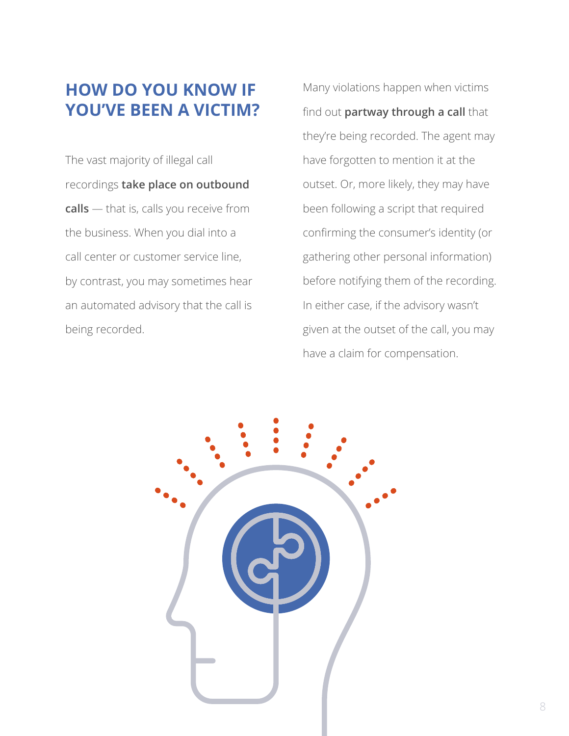## **HOW DO YOU KNOW IF YOU'VE BEEN A VICTIM?**

The vast majority of illegal call recordings **take place on outbound calls** — that is, calls you receive from the business. When you dial into a call center or customer service line, by contrast, you may sometimes hear an automated advisory that the call is being recorded.

Many violations happen when victims find out **partway through a call** that they're being recorded. The agent may have forgotten to mention it at the outset. Or, more likely, they may have been following a script that required confirming the consumer's identity (or gathering other personal information) before notifying them of the recording. In either case, if the advisory wasn't given at the outset of the call, you may have a claim for compensation.

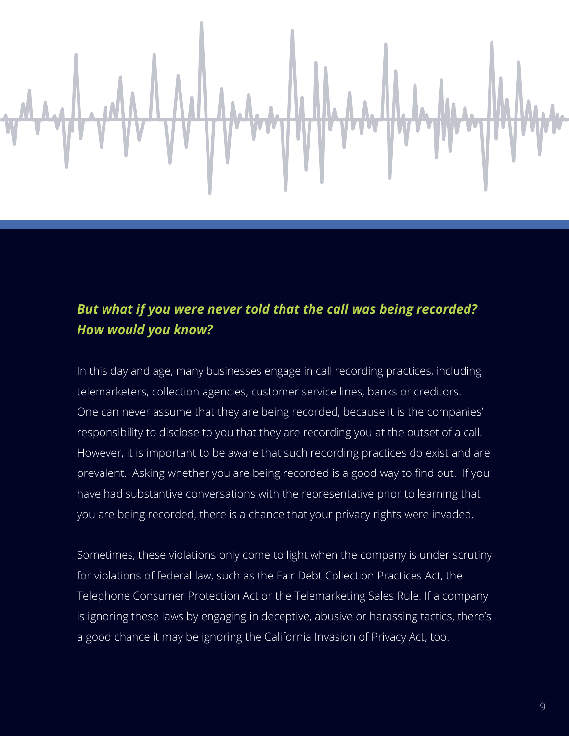

#### *But what if you were never told that the call was being recorded? How would you know?*

In this day and age, many businesses engage in call recording practices, including telemarketers, collection agencies, customer service lines, banks or creditors. One can never assume that they are being recorded, because it is the companies' responsibility to disclose to you that they are recording you at the outset of a call. However, it is important to be aware that such recording practices do exist and are prevalent. Asking whether you are being recorded is a good way to find out. If you have had substantive conversations with the representative prior to learning that you are being recorded, there is a chance that your privacy rights were invaded.

Sometimes, these violations only come to light when the company is under scrutiny for violations of federal law, such as the Fair Debt Collection Practices Act, the Telephone Consumer Protection Act or the Telemarketing Sales Rule. If a company is ignoring these laws by engaging in deceptive, abusive or harassing tactics, there's a good chance it may be ignoring the California Invasion of Privacy Act, too.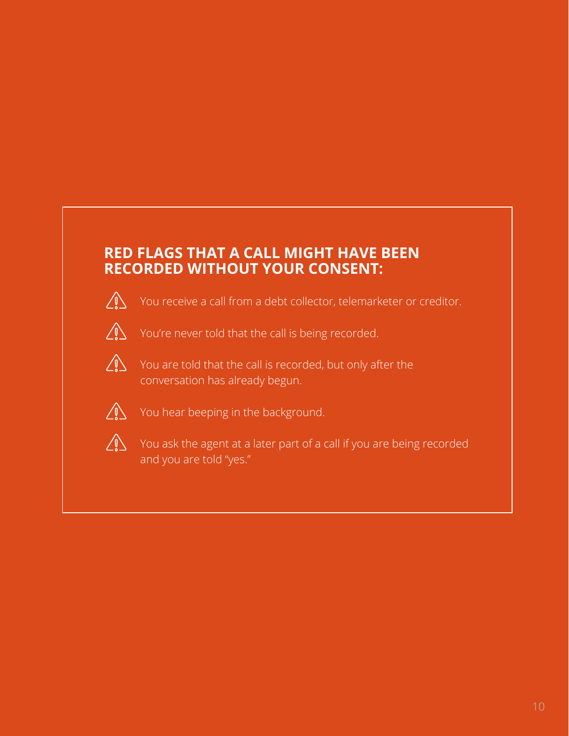### **RED FLAGS THAT A CALL MIGHT HAVE BEEN RECORDED WITHOUT YOUR CONSENT:**



You receive a call from a debt collector, telemarketer or creditor.



You're never told that the call is being recorded.



You are told that the call is recorded, but only after the conversation has already begun.



 $\bigcap_{i=1}^{\infty}$  You hear beeping in the background.



You ask the agent at a later part of a call if you are being recorded and you are told "yes."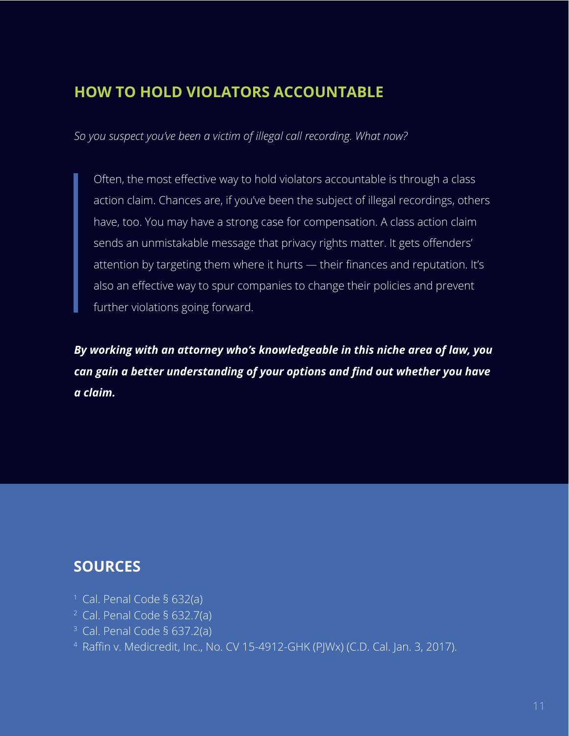## **HOW TO HOLD VIOLATORS ACCOUNTABLE**

*So you suspect you've been a victim of illegal call recording. What now?*

Often, the most effective way to hold violators accountable is through a class action claim. Chances are, if you've been the subject of illegal recordings, others have, too. You may have a strong case for compensation. A class action claim sends an unmistakable message that privacy rights matter. It gets offenders' attention by targeting them where it hurts — their finances and reputation. It's also an effective way to spur companies to change their policies and prevent further violations going forward.

*By working with an attorney who's knowledgeable in this niche area of law, you can gain a better understanding of your options and find out whether you have a claim.*

## **SOURCES**

- <sup>1</sup> Cal. Penal Code § 632(a)
- $2$  Cal. Penal Code § 632.7(a)
- $3$  Cal. Penal Code § 637.2(a)
- 4 Raffin v. Medicredit, Inc., No. CV 15-4912-GHK (PJWx) (C.D. Cal. Jan. 3, 2017).